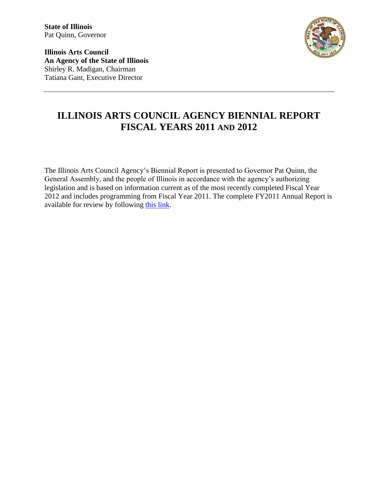**Illinois Arts Council An Agency of the State of Illinois** Shirley R. Madigan, Chairman Tatiana Gant, Executive Director



## **ILLINOIS ARTS COUNCIL AGENCY BIENNIAL REPORT FISCAL YEARS 2011 AND 2012**

The Illinois Arts Council Agency's Biennial Report is presented to Governor Pat Quinn, the General Assembly, and the people of Illinois in accordance with the agency's authorizing legislation and is based on information current as of the most recently completed Fiscal Year 2012 and includes programming from Fiscal Year 2011. The complete FY2011 Annual Report is available for review by following [this link.](http://www.arts.illinois.gov/files/content/Annual_Rpt_FY11.pdf)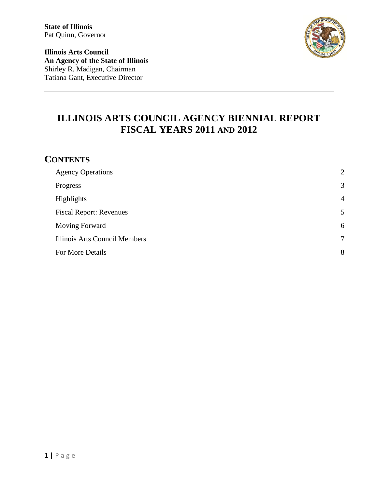**Illinois Arts Council An Agency of the State of Illinois** Shirley R. Madigan, Chairman Tatiana Gant, Executive Director



# **ILLINOIS ARTS COUNCIL AGENCY BIENNIAL REPORT FISCAL YEARS 2011 AND 2012**

### **CONTENTS**

| <b>Agency Operations</b>       | $\overline{2}$ |
|--------------------------------|----------------|
| Progress                       | 3              |
| Highlights                     | $\overline{4}$ |
| <b>Fiscal Report: Revenues</b> | 5              |
| <b>Moving Forward</b>          | 6              |
| Illinois Arts Council Members  | $\overline{7}$ |
| For More Details               | 8              |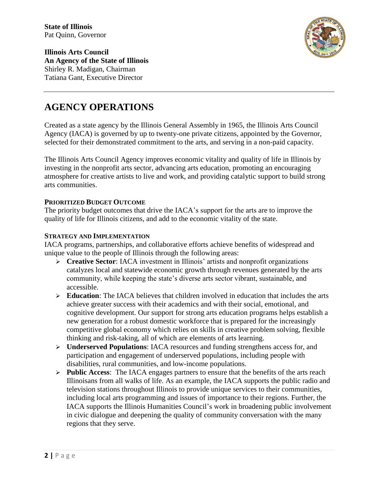

**Illinois Arts Council An Agency of the State of Illinois** Shirley R. Madigan, Chairman Tatiana Gant, Executive Director

## **AGENCY OPERATIONS**

Created as a state agency by the Illinois General Assembly in 1965, the Illinois Arts Council Agency (IACA) is governed by up to twenty-one private citizens, appointed by the Governor, selected for their demonstrated commitment to the arts, and serving in a non-paid capacity.

The Illinois Arts Council Agency improves economic vitality and quality of life in Illinois by investing in the nonprofit arts sector, advancing arts education, promoting an encouraging atmosphere for creative artists to live and work, and providing catalytic support to build strong arts communities.

#### **PRIORITIZED BUDGET OUTCOME**

The priority budget outcomes that drive the IACA's support for the arts are to improve the quality of life for Illinois citizens, and add to the economic vitality of the state.

#### **STRATEGY AND IMPLEMENTATION**

IACA programs, partnerships, and collaborative efforts achieve benefits of widespread and unique value to the people of Illinois through the following areas:

- **Creative Sector**: IACA investment in Illinois' artists and nonprofit organizations catalyzes local and statewide economic growth through revenues generated by the arts community, while keeping the state's diverse arts sector vibrant, sustainable, and accessible.
- **Education**: The IACA believes that children involved in education that includes the arts achieve greater success with their academics and with their social, emotional, and cognitive development. Our support for strong arts education programs helps establish a new generation for a robust domestic workforce that is prepared for the increasingly competitive global economy which relies on skills in creative problem solving, flexible thinking and risk-taking, all of which are elements of arts learning.
- **Underserved Populations**: IACA resources and funding strengthens access for, and participation and engagement of underserved populations, including people with disabilities, rural communities, and low-income populations.
- **Public Access**: The IACA engages partners to ensure that the benefits of the arts reach Illinoisans from all walks of life. As an example, the IACA supports the public radio and television stations throughout Illinois to provide unique services to their communities, including local arts programming and issues of importance to their regions. Further, the IACA supports the Illinois Humanities Council's work in broadening public involvement in civic dialogue and deepening the quality of community conversation with the many regions that they serve.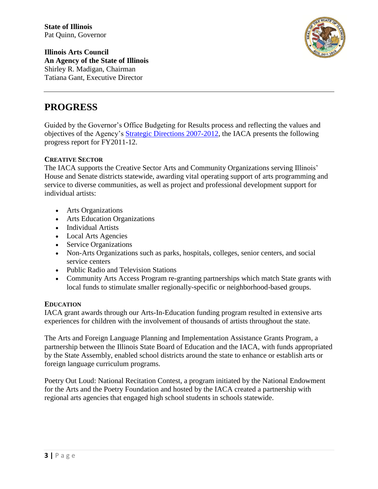

**Illinois Arts Council An Agency of the State of Illinois** Shirley R. Madigan, Chairman Tatiana Gant, Executive Director

### **PROGRESS**

Guided by the Governor's Office Budgeting for Results process and reflecting the values and objectives of the Agency's [Strategic Directions 2007-2012,](http://www.arts.illinois.gov/about-iac/about-iac/strategic-plan) the IACA presents the following progress report for FY2011-12.

### **CREATIVE SECTOR**

The IACA supports the Creative Sector Arts and Community Organizations serving Illinois' House and Senate districts statewide, awarding vital operating support of arts programming and service to diverse communities, as well as project and professional development support for individual artists:

- Arts Organizations
- Arts Education Organizations
- Individual Artists
- Local Arts Agencies
- Service Organizations
- Non-Arts Organizations such as parks, hospitals, colleges, senior centers, and social service centers
- Public Radio and Television Stations
- Community Arts Access Program re-granting partnerships which match State grants with local funds to stimulate smaller regionally-specific or neighborhood-based groups.

### **EDUCATION**

IACA grant awards through our Arts-In-Education funding program resulted in extensive arts experiences for children with the involvement of thousands of artists throughout the state.

The Arts and Foreign Language Planning and Implementation Assistance Grants Program, a partnership between the Illinois State Board of Education and the IACA, with funds appropriated by the State Assembly, enabled school districts around the state to enhance or establish arts or foreign language curriculum programs.

<span id="page-3-0"></span>Poetry Out Loud: National Recitation Contest, a program initiated by the National Endowment for the Arts and the Poetry Foundation and hosted by the IACA created a partnership with regional arts agencies that engaged high school students in schools statewide.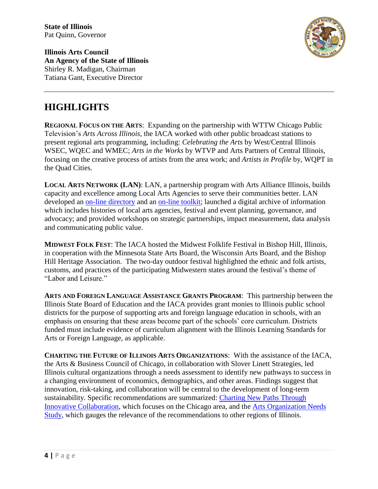

**Illinois Arts Council An Agency of the State of Illinois** Shirley R. Madigan, Chairman Tatiana Gant, Executive Director

## **HIGHLIGHTS**

**REGIONAL FOCUS ON THE ARTS**: Expanding on the partnership with WTTW Chicago Public Television's *Arts Across Illinois*, the IACA worked with other public broadcast stations to present regional arts programming, including: *Celebrating the Arts* by West/Central Illinois WSEC, WQEC and WMEC; *Arts in the Works* by WTVP and Arts Partners of Central Illinois, focusing on the creative process of artists from the area work; and *Artists in Profile* by, WQPT in the Quad Cities.

**LOCAL ARTS NETWORK (LAN)**: LAN, a partnership program with Arts Alliance Illinois, builds capacity and excellence among Local Arts Agencies to serve their communities better. LAN developed an [on-line directory](http://www.arts.illinois.gov/agency-map) and an [on-line toolkit;](http://www.arts.illinois.gov/toolkit) launched a digital archive of information which includes histories of local arts agencies, festival and event planning, governance, and advocacy; and provided workshops on strategic partnerships, impact measurement, data analysis and communicating public value.

**MIDWEST FOLK FEST**: The IACA hosted the Midwest Folklife Festival in Bishop Hill, Illinois, in cooperation with the Minnesota State Arts Board, the Wisconsin Arts Board, and the Bishop Hill Heritage Association. The two-day outdoor festival highlighted the ethnic and folk artists, customs, and practices of the participating Midwestern states around the festival's theme of "Labor and Leisure."

**ARTS AND FOREIGN LANGUAGE ASSISTANCE GRANTS PROGRAM**: This partnership between the Illinois State Board of Education and the IACA provides grant monies to Illinois public school districts for the purpose of supporting arts and foreign language education in schools, with an emphasis on ensuring that these areas become part of the schools' core curriculum. Districts funded must include evidence of curriculum alignment with the Illinois Learning Standards for Arts or Foreign Language, as applicable.

**CHARTING THE FUTURE OF ILLINOIS ARTS ORGANIZATIONS**: With the assistance of the IACA, the Arts & Business Council of Chicago, in collaboration with Slover Linett Strategies, led Illinois cultural organizations through a needs assessment to identify new pathways to success in a changing environment of economics, demographics, and other areas. Findings suggest that innovation, risk-taking, and collaboration will be central to the development of long-term sustainability. Specific recommendations are summarized: [Charting New Paths Through](http://arts.illinois.gov/files/content/Charting%20New%20Paths.pdf)  [Innovative Collaboration,](http://arts.illinois.gov/files/content/Charting%20New%20Paths.pdf) which focuses on the Chicago area, and the [Arts Organization Needs](http://www.arts.illinois.gov/files/content/news/Arts%20Organization%20Needs%20state%20Report.pdf)  [Study,](http://www.arts.illinois.gov/files/content/news/Arts%20Organization%20Needs%20state%20Report.pdf) which gauges the relevance of the recommendations to other regions of Illinois.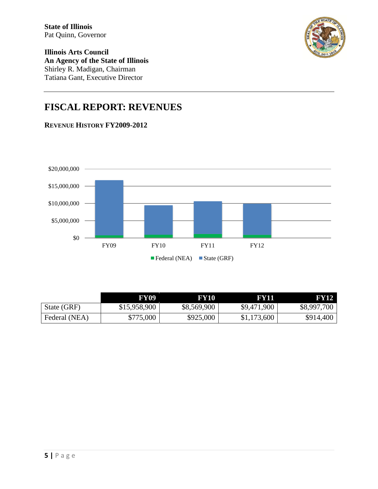

**Illinois Arts Council An Agency of the State of Illinois** Shirley R. Madigan, Chairman Tatiana Gant, Executive Director

# **FISCAL REPORT: REVENUES**





<span id="page-5-0"></span>

|               | FY09         | FY10        | <b>FY11</b> | FY12        |
|---------------|--------------|-------------|-------------|-------------|
| State (GRF)   | \$15,958,900 | \$8,569,900 | \$9,471,900 | \$8,997,700 |
| Federal (NEA) | \$775,000    | \$925,000   | \$1,173,600 | \$914,400   |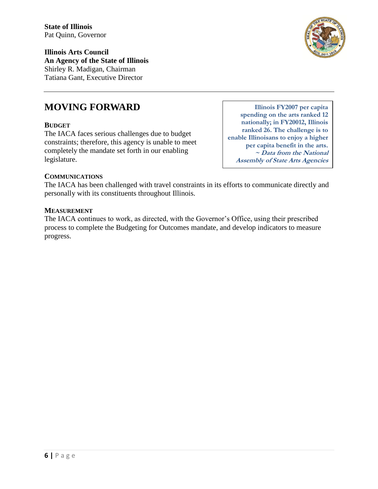**Illinois Arts Council An Agency of the State of Illinois** Shirley R. Madigan, Chairman Tatiana Gant, Executive Director

### **MOVING FORWARD**

#### **BUDGET**

The IACA faces serious challenges due to budget constraints; therefore, this agency is unable to meet completely the mandate set forth in our enabling legislature.

**Illinois FY2007 per capita spending on the arts ranked 12 nationally; in FY20012, Illinois ranked 26. The challenge is to enable Illinoisans to enjoy a higher per capita benefit in the arts. ~ Data from the National Assembly of State Arts Agencies**

#### **COMMUNICATIONS**

The IACA has been challenged with travel constraints in its efforts to communicate directly and personally with its constituents throughout Illinois.

#### **MEASUREMENT**

<span id="page-6-0"></span>The IACA continues to work, as directed, with the Governor's Office, using their prescribed process to complete the Budgeting for Outcomes mandate, and develop indicators to measure progress.

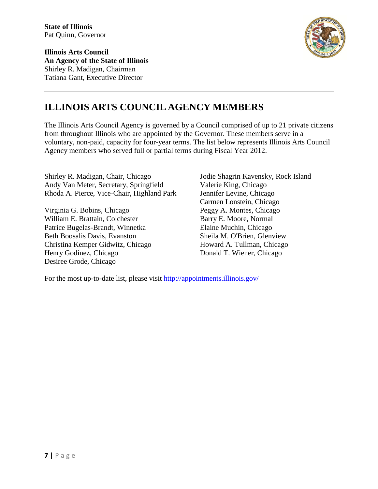**Illinois Arts Council An Agency of the State of Illinois** Shirley R. Madigan, Chairman Tatiana Gant, Executive Director



# **ILLINOIS ARTS COUNCIL AGENCY MEMBERS**

The Illinois Arts Council Agency is governed by a Council comprised of up to 21 private citizens from throughout Illinois who are appointed by the Governor. These members serve in a voluntary, non-paid, capacity for four-year terms. The list below represents Illinois Arts Council Agency members who served full or partial terms during Fiscal Year 2012.

Shirley R. Madigan, Chair, Chicago Andy Van Meter, Secretary, Springfield Rhoda A. Pierce, Vice-Chair, Highland Park

Virginia G. Bobins, Chicago William E. Brattain, Colchester Patrice Bugelas-Brandt, Winnetka Beth Boosalis Davis, Evanston Christina Kemper Gidwitz, Chicago Henry Godinez, Chicago Desiree Grode, Chicago

Jodie Shagrin Kavensky, Rock Island Valerie King, Chicago Jennifer Levine, Chicago Carmen Lonstein, Chicago Peggy A. Montes, Chicago Barry E. Moore, Normal Elaine Muchin, Chicago Sheila M. O'Brien, Glenview Howard A. Tullman, Chicago Donald T. Wiener, Chicago

For the most up-to-date list, please visit <http://appointments.illinois.gov/>